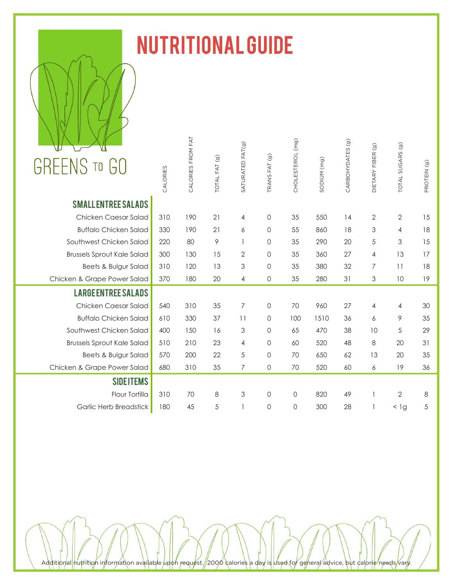

## Nutritional Guide

| <b>GREENS TO GO</b>               | CALORIES      | CALORIES FROM FAT | TOTAL FAT (g) | SATURATED FAT(g) | TRANS FAT (g)       | CHOLESTEROL (mg) | SODIUM (mg)    | CARBOHYDATES (g) | DIETARY FIBER (9) | TOTAL SUGARS (g) | PROTEIN (g) |
|-----------------------------------|---------------|-------------------|---------------|------------------|---------------------|------------------|----------------|------------------|-------------------|------------------|-------------|
| <b>SMALL ENTREE SALADS</b>        |               |                   |               |                  |                     |                  |                |                  |                   |                  |             |
| Chicken Caesar Salad              | 310           | 190               | 21            | $\overline{4}$   | $\mathbf 0$         | 35               | 550            | 14               | $\mathbf{2}$      | $\sqrt{2}$       | 15          |
| <b>Buffalo Chicken Salad</b>      | 330           | 190               | 21            | 6                | $\mathsf{O}\xspace$ | 55               | 860            | 18               | 3                 | 4                | 18          |
| Southwest Chicken Salad           | 220           | 80                | $\mathcal{P}$ | $\mathbf{1}$     | $\mathbf 0$         | 35               | 290            | 20               | 5                 | 3                | 15          |
| <b>Brussels Sprout Kale Salad</b> | 300           | 130               | 15            | $\mathbf{2}$     | $\mathsf{O}$        | 35               | 360            | 27               | $\overline{4}$    | 13               | 17          |
| Beets & Bulgur Salad              | 310           | 120               | 13            | 3                | $\mathsf{O}$        | 35               | 380            | 32               | $\overline{7}$    | 11               | 18          |
| Chicken & Grape Power Salad       | 370           | 180               | 20            | 4                | $\mathsf{O}\xspace$ | 35               | 280            | 31               | 3                 | 10               | 19          |
| <b>LARGE ENTREE SALADS</b>        |               |                   |               |                  |                     |                  |                |                  |                   |                  |             |
| Chicken Caesar Salad              | 540           | 310               | 35            | $\overline{7}$   | $\mathbf 0$         | 70               | 960            | 27               | 4                 | 4                | 30          |
| <b>Buffalo Chicken Salad</b>      | 610           | 330               | 37            | 11               | 0                   | 100              | 1510           | 36               | 6                 | 9                | 35          |
| Southwest Chicken Salad           | 400           | 150               | 16            | 3                | $\mathsf{O}\xspace$ | 65               | 470            | 38               | 10                | 5                | 29          |
| <b>Brussels Sprout Kale Salad</b> | 510           | 210               | 23            | $\overline{4}$   | $\mathsf{O}\xspace$ | 60               | 520            | 48               | 8                 | 20               | 31          |
| Beets & Bulgur Salad              | 570           | 200               | 22            | 5                | $\mathsf{O}\xspace$ | 70               | 650            | 62               | 13                | 20               | 35          |
| Chicken & Grape Power Salad       | 680           | 310               | 35            | $\overline{7}$   | $\circ$             | 70               | 520            | 60               | 6                 | 19               | 36          |
| <b>SIDEITEMS</b>                  |               |                   |               |                  |                     |                  |                |                  |                   |                  |             |
| Flour Tortilla                    | 310           | 70                | 8             | 3                | $\mathsf{O}\xspace$ | 0                | 820            | 49               | 1                 | $\mathbf{2}$     | 8           |
| Garlic Herb Breadstick            | 180           | 45                | $\sqrt{5}$    | $\mathbf{I}$     | $\mathsf{O}\xspace$ | $\mathsf O$      | 300            | 28               | 1                 | $<$ 1g           | 5           |
|                                   |               |                   |               |                  |                     |                  |                |                  |                   |                  |             |
|                                   |               |                   |               |                  |                     |                  |                |                  |                   |                  |             |
| avail                             | lable<br>ınon | reau              | 2000          | calori<br>F      |                     | <b>sed</b>       | aenera<br>advi |                  | dallorie needs    | van              |             |